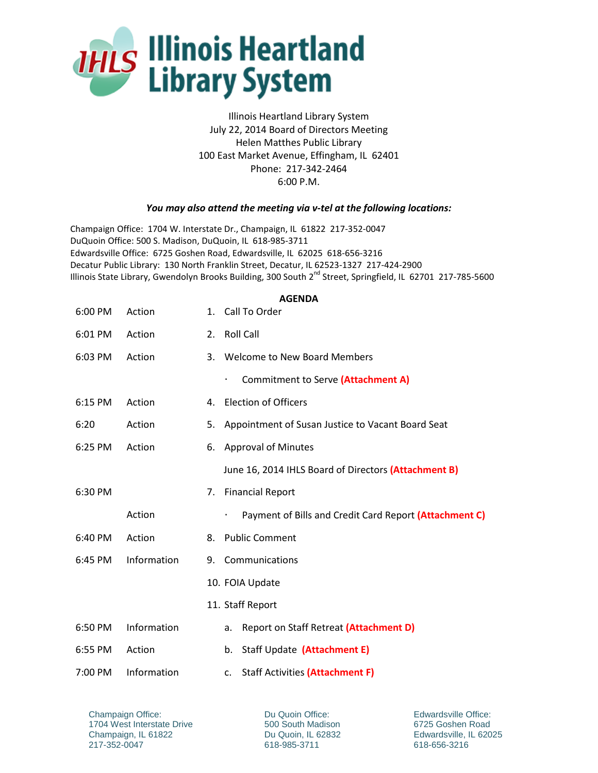

Illinois Heartland Library System July 22, 2014 Board of Directors Meeting Helen Matthes Public Library 100 East Market Avenue, Effingham, IL 62401 Phone: 217-342-2464 6:00 P.M.

## *You may also attend the meeting via v-tel at the following locations:*

Champaign Office: 1704 W. Interstate Dr., Champaign, IL 61822 217-352-0047 DuQuoin Office: 500 S. Madison, DuQuoin, IL 618-985-3711 Edwardsville Office: 6725 Goshen Road, Edwardsville, IL 62025 618-656-3216 Decatur Public Library: 130 North Franklin Street, Decatur, IL 62523-1327 217-424-2900 Illinois State Library, Gwendolyn Brooks Building, 300 South 2<sup>nd</sup> Street, Springfield, IL 62701 217-785-5600

| 6:00 PM | Action      |    | 1. Call To Order                                            |
|---------|-------------|----|-------------------------------------------------------------|
| 6:01 PM | Action      | 2. | <b>Roll Call</b>                                            |
| 6:03 PM | Action      |    | 3. Welcome to New Board Members                             |
|         |             |    | Commitment to Serve (Attachment A)<br>۰                     |
| 6:15 PM | Action      | 4. | <b>Election of Officers</b>                                 |
| 6:20    | Action      | 5. | Appointment of Susan Justice to Vacant Board Seat           |
| 6:25 PM | Action      | 6. | <b>Approval of Minutes</b>                                  |
|         |             |    | June 16, 2014 IHLS Board of Directors (Attachment B)        |
| 6:30 PM |             | 7. | <b>Financial Report</b>                                     |
|         | Action      |    | Payment of Bills and Credit Card Report (Attachment C)<br>۰ |
| 6:40 PM | Action      | 8. | <b>Public Comment</b>                                       |
| 6:45 PM | Information | 9. | Communications                                              |
|         |             |    | 10. FOIA Update                                             |
|         |             |    | 11. Staff Report                                            |
| 6:50 PM | Information |    | Report on Staff Retreat (Attachment D)<br>a.                |
| 6:55 PM | Action      |    | Staff Update (Attachment E)<br>b.                           |
| 7:00 PM | Information |    | Staff Activities (Attachment F)<br>c.                       |

Champaign Office: 1704 West Interstate Drive Champaign, IL 61822 217-352-0047

Du Quoin Office: 500 South Madison Du Quoin, IL 62832 618-985-3711

Edwardsville Office: 6725 Goshen Road Edwardsville, IL 62025 618-656-3216